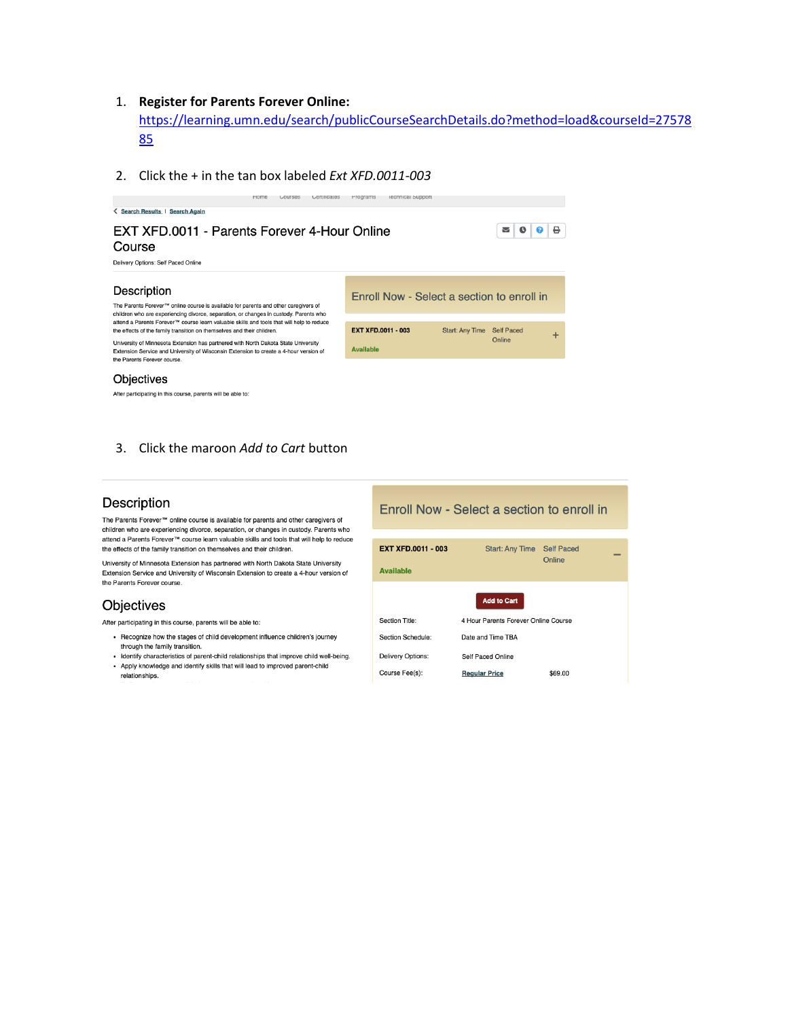### 1. **Register for Parents Forever Online:**

[https://learning.umn.edu/search/publicCourseSearchDetails.do?method=load&courseId=27578](https://learning.umn.edu/search/publicCourseSearchDetails.do?method=load&courseId=2757885) [85](https://learning.umn.edu/search/publicCourseSearchDetails.do?method=load&courseId=2757885)

2. Click the + in the tan box labeled *Ext XFD.0011-003*



After participating in this course, parents will be able to:

## 3. Click the maroon *Add to Cart* button

## Description

The Parents Forever™ online course is available for parents and other caregivers of children who are experiencing divorce, separation, or changes in custody. Parents who attend a Parents Forever™ course learn valuable skills and tools that will help to reduce the effects of the family transition on themselves and their children.

University of Minnesota Extension has partnered with North Dakota State University Extension Service and University of Wisconsin Extension to create a 4-hour version of the Parents Forever course.

### Objectives

After participating in this course, parents will be able to:

- Recognize how the stages of child development influence children's journey through the family transition.
- Identify characteristics of parent-child relationships that improve child well-being. • Apply knowledge and identify skills that will lead to improved parent-child
- relationships.

#### Enroll Now - Select a section to enroll in Start: Any Time Self Paced **EXT XFD.0011 - 003** Online **Available Add to Cart** 4 Hour Parents Forever Online Course Section Title: Date and Time TBA Section Schedule: Delivery Options: Self Paced Online Course Fee(s): **Regular Price** \$69.00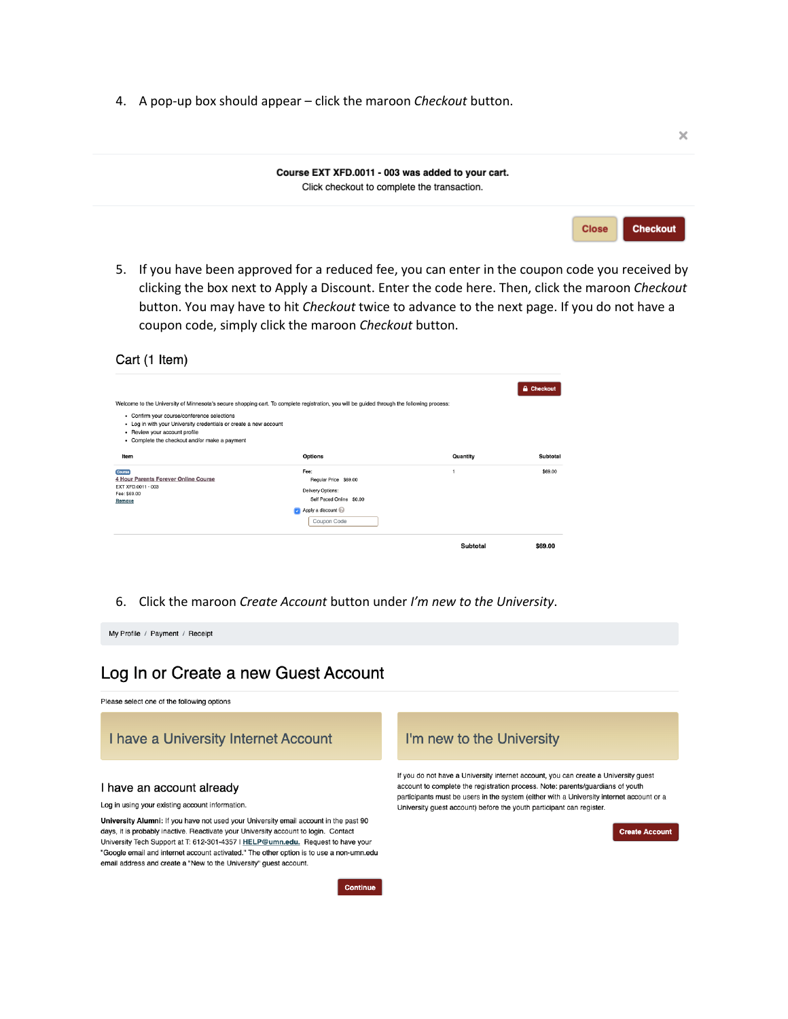4. A pop-up box should appear - click the maroon Checkout button.



5. If you have been approved for a reduced fee, you can enter in the coupon code you received by clicking the box next to Apply a Discount. Enter the code here. Then, click the maroon Checkout button. You may have to hit Checkout twice to advance to the next page. If you do not have a coupon code, simply click the maroon Checkout button.

| Cart (1 Item)                                                                                                                                                                                      |                                                                                                                                            |              |                   |
|----------------------------------------------------------------------------------------------------------------------------------------------------------------------------------------------------|--------------------------------------------------------------------------------------------------------------------------------------------|--------------|-------------------|
|                                                                                                                                                                                                    | Welcome to the University of Minnesota's secure shopping cart. To complete registration, you will be guided through the following process: |              | <b>A</b> Checkout |
| - Confirm your course/conference selections<br>- Log in with your University credentials or create a new account<br>- Review your account profile<br>- Complete the checkout and/or make a payment |                                                                                                                                            |              |                   |
| Item                                                                                                                                                                                               | <b>Options</b>                                                                                                                             | Quantity     | Subtotal          |
| Course<br>4 Hour Parents Forever Online Course<br>EXT XFD.0011 - 003<br>Fee: \$69.00<br>Remove                                                                                                     | Fee:<br>Regular Price \$69.00<br>Delivery Options:<br>Self Paced Online \$0.00                                                             | $\mathbf{1}$ | \$69.00           |
|                                                                                                                                                                                                    | Apply a discount<br>Coupon Code                                                                                                            |              |                   |
|                                                                                                                                                                                                    |                                                                                                                                            | Subtotal     | \$69.00           |

6. Click the maroon Create Account button under I'm new to the University.

My Profile / Payment / Receipt

# Log In or Create a new Guest Account

Please select one of the following options

I have a University Internet Account

#### I have an account already

Log in using your existing account information.

University Alumni: If you have not used your University email account in the past 90 days, it is probably inactive. Reactivate your University account to login. Contact University Tech Support at T: 612-301-4357 | HELP@umn.edu. Request to have your "Google email and internet account activated." The other option is to use a non-umn.edu email address and create a "New to the University" guest account.

## I'm new to the University

If you do not have a University internet account, you can create a University guest account to complete the registration process. Note: parents/guardians of youth participants must be users in the system (either with a University internet account or a University guest account) before the youth participant can register.

**Create Account** 

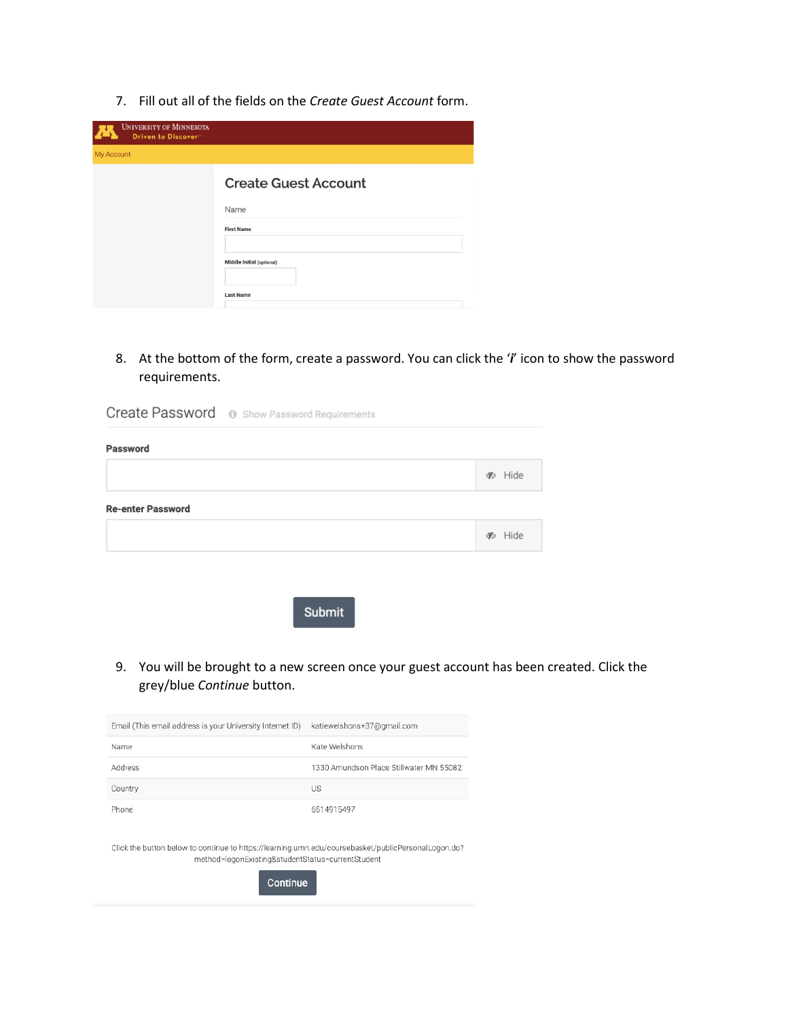7. Fill out all of the fields on the *Create Guest Account* form.

| <b>UNIVERSITY OF MINNESOTA</b><br>W<br>Driven to Discover" |                             |
|------------------------------------------------------------|-----------------------------|
| My Account                                                 |                             |
|                                                            | <b>Create Guest Account</b> |
|                                                            | Name                        |
|                                                            | <b>First Name</b>           |
|                                                            | Middle Initial (optional)   |
|                                                            | <b>Last Name</b>            |

8. At the bottom of the form, create a password. You can click the '*i*' icon to show the password requirements.

|                          | <b>Create Password</b> $\circledcirc$ Show Password Requirements |                         |
|--------------------------|------------------------------------------------------------------|-------------------------|
| Password                 |                                                                  |                         |
|                          |                                                                  | <b>B</b> Hide           |
| <b>Re-enter Password</b> |                                                                  |                         |
|                          |                                                                  | <b><sup></sup></b> Hide |
|                          |                                                                  |                         |
|                          |                                                                  |                         |

Submit

9. You will be brought to a new screen once your guest account has been created. Click the grey/blue *Continue* button.

| Email (This email address is your University Internet ID) | katiewelshons+37@gmail.com              |
|-----------------------------------------------------------|-----------------------------------------|
| Name                                                      | Kate Welshons                           |
| Address                                                   | 1330 Amundson Place Stillwater MN 55082 |
| Country                                                   | US                                      |
| Phone                                                     | 6514915497                              |
|                                                           |                                         |

Click the button below to continue to https://learning.umn.edu/coursebasket/publicPersonalLogon.do? method=logonExisting&studentStatus=currentStudent

Continue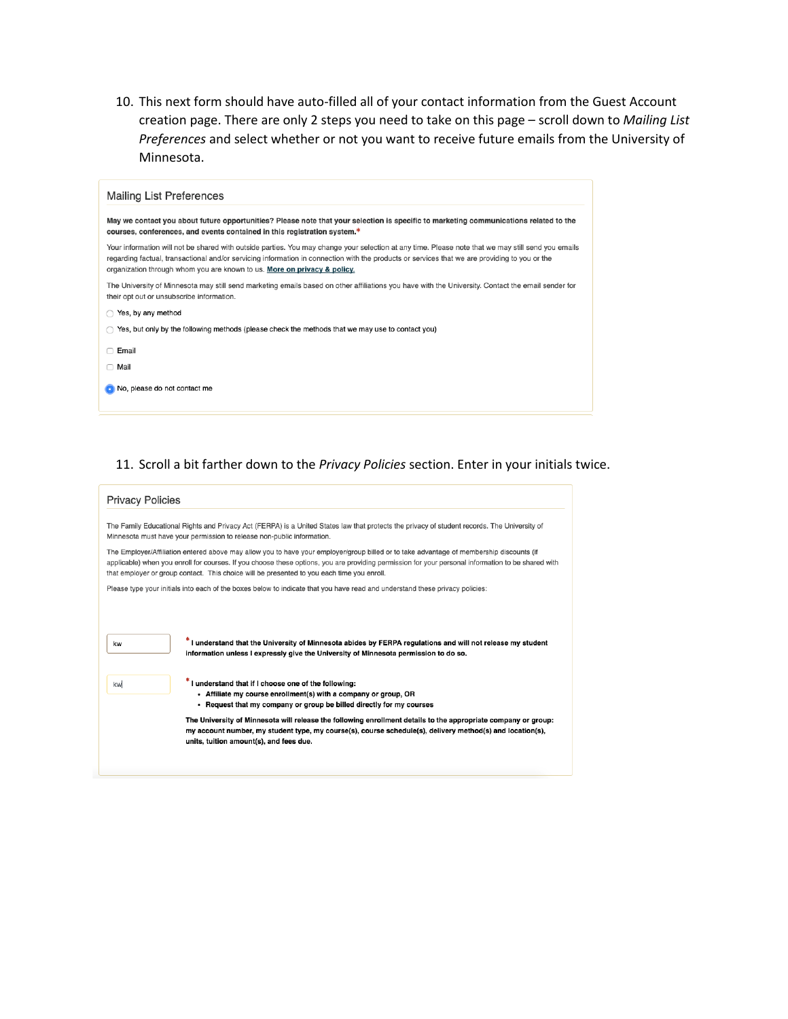10. This next form should have auto-filled all of your contact information from the Guest Account creation page. There are only 2 steps you need to take on this page – scroll down to *Mailing List Preferences* and select whether or not you want to receive future emails from the University of Minnesota.

| <b>Mailing List Preferences</b>                                                                                                                                                                                                                                                                                                                                                 |
|---------------------------------------------------------------------------------------------------------------------------------------------------------------------------------------------------------------------------------------------------------------------------------------------------------------------------------------------------------------------------------|
| May we contact you about future opportunities? Please note that your selection is specific to marketing communications related to the<br>courses, conferences, and events contained in this registration system.*                                                                                                                                                               |
| Your information will not be shared with outside parties. You may change your selection at any time. Please note that we may still send you emails<br>regarding factual, transactional and/or servicing information in connection with the products or services that we are providing to you or the<br>organization through whom you are known to us. More on privacy & policy. |
| The University of Minnesota may still send marketing emails based on other affiliations you have with the University. Contact the email sender for<br>their opt out or unsubscribe information.                                                                                                                                                                                 |
| Yes, by any method                                                                                                                                                                                                                                                                                                                                                              |
| Yes, but only by the following methods (please check the methods that we may use to contact you)                                                                                                                                                                                                                                                                                |
| Email                                                                                                                                                                                                                                                                                                                                                                           |
| Mail                                                                                                                                                                                                                                                                                                                                                                            |
| No, please do not contact me                                                                                                                                                                                                                                                                                                                                                    |
|                                                                                                                                                                                                                                                                                                                                                                                 |

## 11. Scroll a bit farther down to the *Privacy Policies* section. Enter in your initials twice.

| <b>Privacy Policies</b>                                                |                                                                                                                                                                                                                                                                                                                                                                                              |
|------------------------------------------------------------------------|----------------------------------------------------------------------------------------------------------------------------------------------------------------------------------------------------------------------------------------------------------------------------------------------------------------------------------------------------------------------------------------------|
| Minnesota must have your permission to release non-public information. | The Family Educational Rights and Privacy Act (FERPA) is a United States law that protects the privacy of student records. The University of                                                                                                                                                                                                                                                 |
|                                                                        | The Employer/Affiliation entered above may allow you to have your employer/group billed or to take advantage of membership discounts (if<br>applicable) when you enroll for courses. If you choose these options, you are providing permission for your personal information to be shared with<br>that employer or group contact. This choice will be presented to you each time you enroll. |
|                                                                        | Please type your initials into each of the boxes below to indicate that you have read and understand these privacy policies:                                                                                                                                                                                                                                                                 |
| kw<br>kw                                                               | * I understand that the University of Minnesota abides by FERPA regulations and will not release my student<br>information unless I expressly give the University of Minnesota permission to do so.<br>*I understand that if I choose one of the following:<br>- Affiliate my course enrollment(s) with a company or group, OR                                                               |
|                                                                        | - Request that my company or group be billed directly for my courses                                                                                                                                                                                                                                                                                                                         |
|                                                                        | The University of Minnesota will release the following enrollment details to the appropriate company or group:<br>my account number, my student type, my course(s), course schedule(s), delivery method(s) and location(s),<br>units, tuition amount(s), and fees due.                                                                                                                       |
|                                                                        |                                                                                                                                                                                                                                                                                                                                                                                              |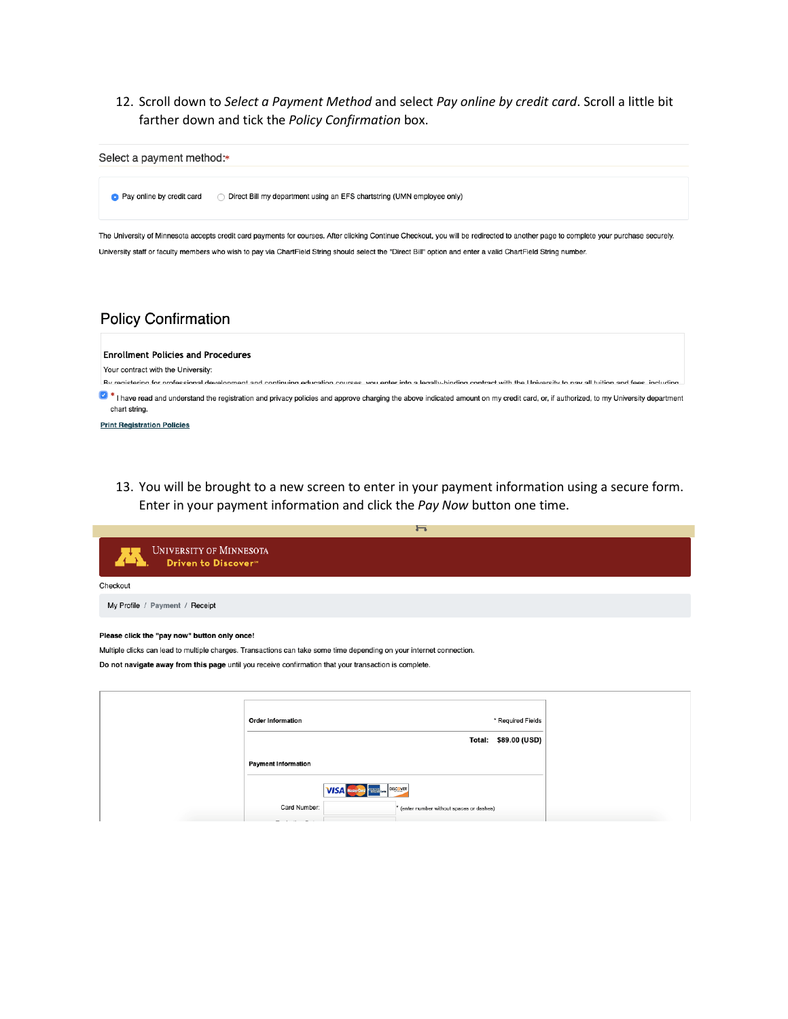12. Scroll down to Select a Payment Method and select Pay online by credit card. Scroll a little bit farther down and tick the Policy Confirmation box.



# **Policy Confirmation**

**Enrollment Policies and Procedures** 

Your contract with the University:

Ry registering for professional development and continuing education courses you enter into a legally binding contract with the University to nay all tuition and fees including.

8 \* I have read and understand the registration and privacy policies and approve charging the above indicated amount on my credit card, or, if authorized, to my University department chart string.

**Print Registration Policies** 

13. You will be brought to a new screen to enter in your payment information using a secure form. Enter in your payment information and click the Pay Now button one time.

|                                                                                                                      |                          | $\overline{\phantom{0}}$ |                      |  |
|----------------------------------------------------------------------------------------------------------------------|--------------------------|--------------------------|----------------------|--|
| <b>UNIVERSITY OF MINNESOTA</b><br>Driven to Discover <sup>94</sup>                                                   |                          |                          |                      |  |
| Checkout                                                                                                             |                          |                          |                      |  |
| My Profile / Payment / Receipt                                                                                       |                          |                          |                      |  |
| Please click the "pay now" button only once!                                                                         |                          |                          |                      |  |
| Multiple clicks can lead to multiple charges. Transactions can take some time depending on your internet connection. |                          |                          |                      |  |
| Do not navigate away from this page until you receive confirmation that your transaction is complete.                |                          |                          |                      |  |
|                                                                                                                      |                          |                          |                      |  |
|                                                                                                                      |                          |                          |                      |  |
|                                                                                                                      | <b>Order Information</b> |                          | * Required Fields    |  |
|                                                                                                                      |                          |                          | Total: \$89.00 (USD) |  |

**VISA** Music Card **EXECUTER** 

 $^\star$  (enter number without spaces or dashes)

**Payment Information** 

Card Number: